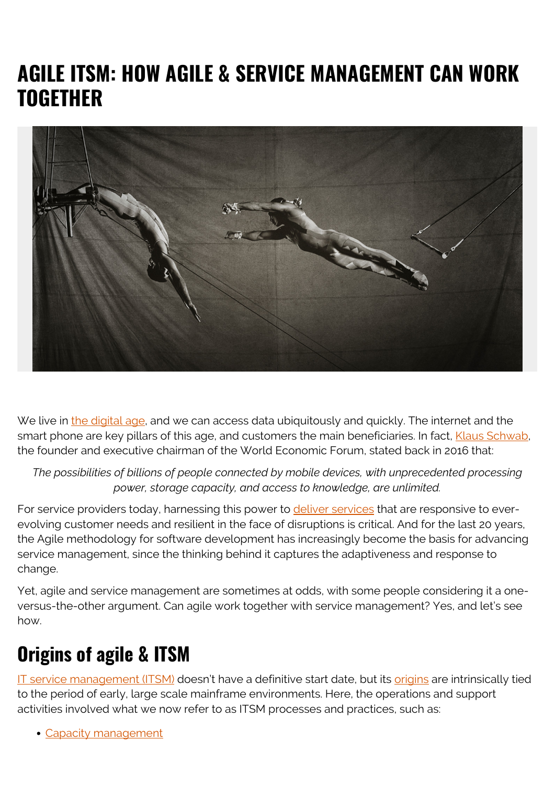# **AGILE ITSM: HOW AGILE & SERVICE MANAGEMENT CAN WORK TOGETHER**



We live in [the digital age,](https://blogs.bmc.com/blogs/fourth-industrial-revolution/) and we can access data ubiquitously and quickly. The internet and the smart phone are key pillars of this age, and customers the main beneficiaries. In fact, [Klaus Schwab,](https://www.weforum.org/agenda/2016/01/the-fourth-industrial-revolution-what-it-means-and-how-to-respond/) the founder and executive chairman of the World Economic Forum, stated back in 2016 that:

*The possibilities of billions of people connected by mobile devices, with unprecedented processing power, storage capacity, and access to knowledge, are unlimited.*

For service providers today, harnessing this power to [deliver services](https://blogs.bmc.com/blogs/itil-service-delivery/) that are responsive to everevolving customer needs and resilient in the face of disruptions is critical. And for the last 20 years, the Agile methodology for software development has increasingly become the basis for advancing service management, since the thinking behind it captures the adaptiveness and response to change.

Yet, agile and service management are sometimes at odds, with some people considering it a oneversus-the-other argument. Can agile work together with service management? Yes, and let's see how.

## **Origins of agile & ITSM**

[IT service management \(ITSM\)](https://blogs.bmc.com/blogs/itsm/) doesn't have a definitive start date, but its [origins](https://cio-wiki.org/wiki/IT_Service_Management_(ITSM)) are intrinsically tied to the period of early, large scale mainframe environments. Here, the operations and support activities involved what we now refer to as ITSM processes and practices, such as:

[Capacity management](https://blogs.bmc.com/blogs/it-capacity-management-planning/)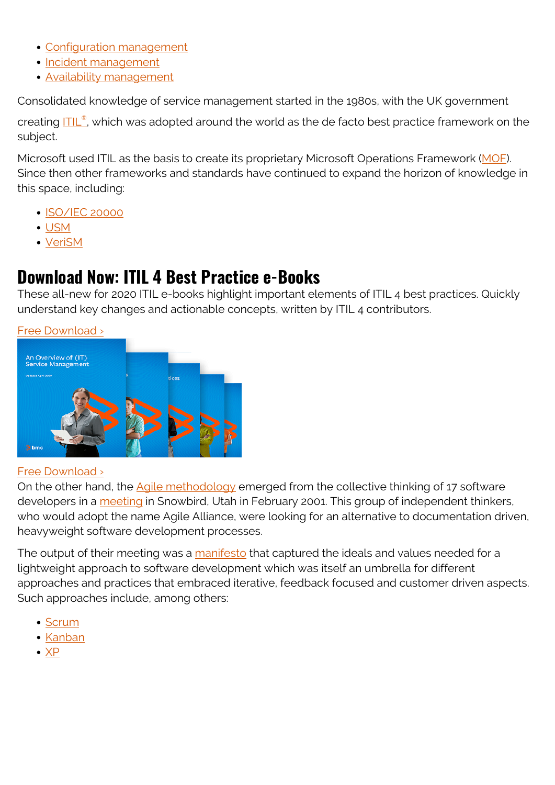- [Configuration management](https://blogs.bmc.com/blogs/configuration-management/)
- [Incident management](https://blogs.bmc.com/blogs/incident-management/)
- [Availability management](https://blogs.bmc.com/blogs/availability-management-introduction/)

Consolidated knowledge of service management started in the 1980s, with the UK government

creating [ITIL](https://blogs.bmc.com/blogs/itil-4/)[®](https://blogs.bmc.com/blogs/itil-4/), which was adopted around the world as the de facto best practice framework on the subject.

Microsoft used ITIL as the basis to create its proprietary Microsoft Operations Framework ([MOF](https://docs.microsoft.com/en-us/previous-versions/tn-archive/cc506049(v=technet.10))). Since then other frameworks and standards have continued to expand the horizon of knowledge in this space, including:

- [ISO/IEC 20000](https://blogs.bmc.com/blogs/iso-iec-20000/)
- [USM](https://usm-portal.com/?lang=en)
- [VeriSM](https://blogs.bmc.com/blogs/verism-introduction/)

#### **Download Now: ITIL 4 Best Practice e-Books**

These all-new for 2020 ITIL e-books highlight important elements of ITIL 4 best practices. Quickly understand key changes and actionable concepts, written by ITIL 4 contributors.

[Free Download ›](https://www.bmc.com/forms/itil-free-ebook.html)



#### [Free Download ›](https://www.bmc.com/forms/itil-free-ebook.html)

On the other hand, the [Agile methodology](https://blogs.bmc.com/blogs/agile-vs-waterfall/) emerged from the collective thinking of 17 software developers in a [meeting](https://martinfowler.com/articles/agileStory.html) in Snowbird, Utah in February 2001. This group of independent thinkers, who would adopt the name Agile Alliance, were looking for an alternative to documentation driven, heavyweight software development processes.

The output of their meeting was a [manifesto](https://agilemanifesto.org/history.html) that captured the ideals and values needed for a lightweight approach to software development which was itself an umbrella for different approaches and practices that embraced iterative, feedback focused and customer driven aspects. Such approaches include, among others:

- [Scrum](https://blogs.bmc.com/blogs/scrum-vs-kanban/)
- [Kanban](https://blogs.bmc.com/blogs/scrum-vs-kanban/)
- $\bullet$  [XP](https://blogs.bmc.com/blogs/extreme-programming/)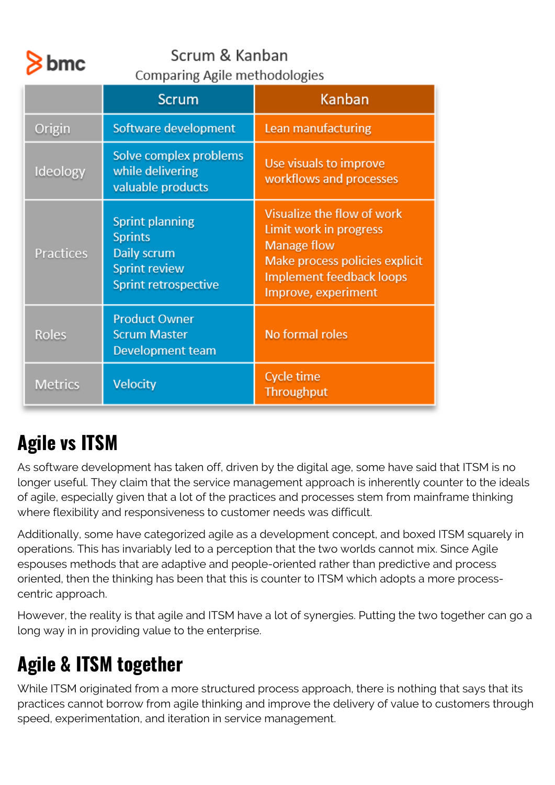

#### Scrum & Kanban **Comparing Agile methodologies**

|                | <b>Scrum</b>                                                                                            | Kanban                                                                                                                                                          |
|----------------|---------------------------------------------------------------------------------------------------------|-----------------------------------------------------------------------------------------------------------------------------------------------------------------|
| Origin         | Software development                                                                                    | Lean manufacturing                                                                                                                                              |
| Ideology       | Solve complex problems<br>while delivering<br>valuable products                                         | Use visuals to improve<br>workflows and processes                                                                                                               |
| Practices      | <b>Sprint planning</b><br><b>Sprints</b><br>Daily scrum<br><b>Sprint review</b><br>Sprint retrospective | Visualize the flow of work<br>Limit work in progress<br><b>Manage flow</b><br>Make process policies explicit<br>Implement feedback loops<br>Improve, experiment |
| <b>Roles</b>   | <b>Product Owner</b><br><b>Scrum Master</b><br><b>Development team</b>                                  | No formal roles                                                                                                                                                 |
| <b>Metrics</b> | Velocity                                                                                                | Cycle time<br><b>Throughput</b>                                                                                                                                 |

# **Agile vs ITSM**

As software development has taken off, driven by the digital age, some have said that ITSM is no longer useful. They claim that the service management approach is inherently counter to the ideals of agile, especially given that a lot of the practices and processes stem from mainframe thinking where flexibility and responsiveness to customer needs was difficult.

Additionally, some have categorized agile as a development concept, and boxed ITSM squarely in operations. This has invariably led to a perception that the two worlds cannot mix. Since Agile espouses methods that are adaptive and people-oriented rather than predictive and process oriented, then the thinking has been that this is counter to ITSM which adopts a more processcentric approach.

However, the reality is that agile and ITSM have a lot of synergies. Putting the two together can go a long way in in providing value to the enterprise.

# **Agile & ITSM together**

While ITSM originated from a more structured process approach, there is nothing that says that its practices cannot borrow from agile thinking and improve the delivery of value to customers through speed, experimentation, and iteration in service management.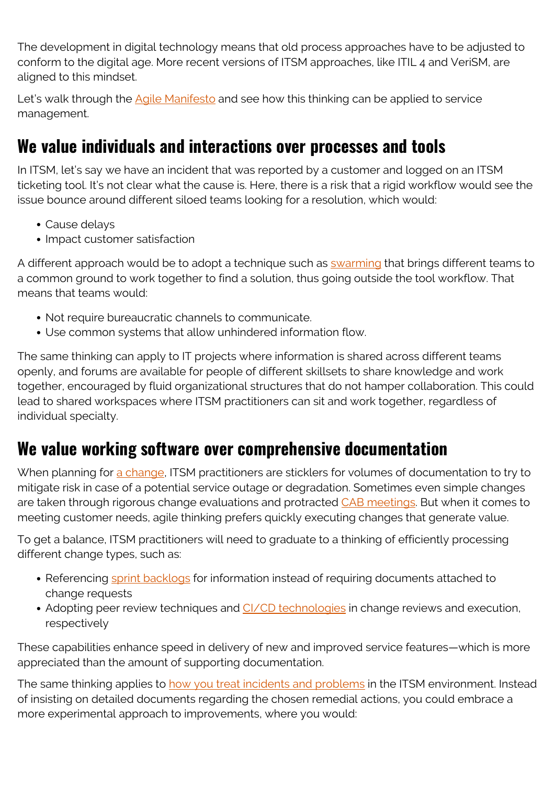The development in digital technology means that old process approaches have to be adjusted to conform to the digital age. More recent versions of ITSM approaches, like ITIL 4 and VeriSM, are aligned to this mindset.

Let's walk through the [Agile Manifesto](https://agilemanifesto.org/) and see how this thinking can be applied to service management.

### **We value individuals and interactions over processes and tools**

In ITSM, let's say we have an incident that was reported by a customer and logged on an ITSM ticketing tool. It's not clear what the cause is. Here, there is a risk that a rigid workflow would see the issue bounce around different siloed teams looking for a resolution, which would:

- Cause delays
- Impact customer satisfaction

A different approach would be to adopt a technique such as [swarming](https://blogs.bmc.com/blogs/swarming-support-tiered-support-differences/) that brings different teams to a common ground to work together to find a solution, thus going outside the tool workflow. That means that teams would:

- Not require bureaucratic channels to communicate.
- Use common systems that allow unhindered information flow.

The same thinking can apply to IT projects where information is shared across different teams openly, and forums are available for people of different skillsets to share knowledge and work together, encouraged by fluid organizational structures that do not hamper collaboration. This could lead to shared workspaces where ITSM practitioners can sit and work together, regardless of individual specialty.

### **We value working software over comprehensive documentation**

When planning for [a change](https://blogs.bmc.com/blogs/changes-types-standard-vs-normal-vs-emergency-change/), ITSM practitioners are sticklers for volumes of documentation to try to mitigate risk in case of a potential service outage or degradation. Sometimes even simple changes are taken through rigorous change evaluations and protracted [CAB meetings.](https://blogs.bmc.com/blogs/change-control-board-vs-change-advisory-board/) But when it comes to meeting customer needs, agile thinking prefers quickly executing changes that generate value.

To get a balance, ITSM practitioners will need to graduate to a thinking of efficiently processing different change types, such as:

- Referencing [sprint backlogs](https://blogs.bmc.com/blogs/sprint-zero/) for information instead of requiring documents attached to change requests
- Adopting peer review techniques and [CI/CD technologies](https://blogs.bmc.com/blogs/what-is-ci-cd/) in change reviews and execution, respectively

These capabilities enhance speed in delivery of new and improved service features—which is more appreciated than the amount of supporting documentation.

The same thinking applies to [how you treat incidents and problems](https://blogs.bmc.com/blogs/incident-management-vs-problem-management-whats-the-difference/) in the ITSM environment. Instead of insisting on detailed documents regarding the chosen remedial actions, you could embrace a more experimental approach to improvements, where you would: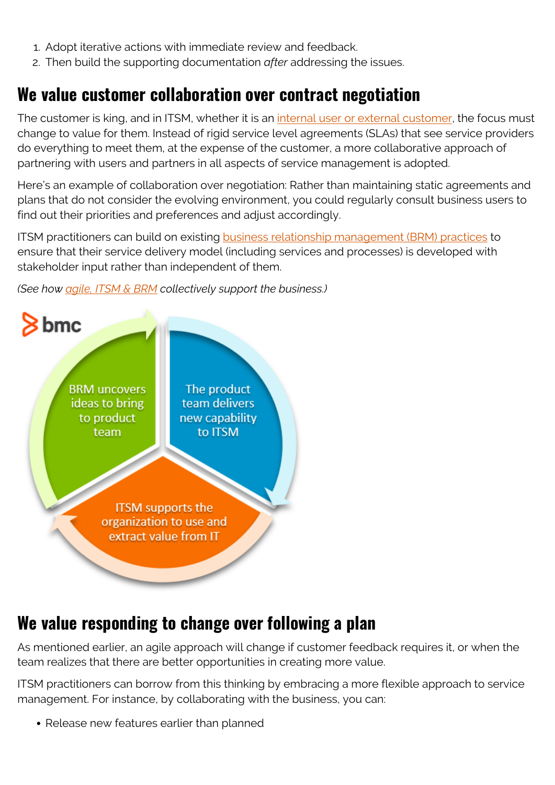- 1. Adopt iterative actions with immediate review and feedback.
- 2. Then build the supporting documentation *after* addressing the issues.

#### **We value customer collaboration over contract negotiation**

The customer is king, and in ITSM, whether it is an [internal user or external customer](https://blogs.bmc.com/blogs/internal-vs-external-customers/), the focus must change to value for them. Instead of rigid service level agreements (SLAs) that see service providers do everything to meet them, at the expense of the customer, a more collaborative approach of partnering with users and partners in all aspects of service management is adopted.

Here's an example of collaboration over negotiation: Rather than maintaining static agreements and plans that do not consider the evolving environment, you could regularly consult business users to find out their priorities and preferences and adjust accordingly.

ITSM practitioners can build on existing **business relationship management (BRM)** practices to ensure that their service delivery model (including services and processes) is developed with stakeholder input rather than independent of them.

*(See how [agile, ITSM & BRM](https://blogs.bmc.com/blogs/itsm-brm-agile-product-management/) collectively support the business.)*



#### **We value responding to change over following a plan**

As mentioned earlier, an agile approach will change if customer feedback requires it, or when the team realizes that there are better opportunities in creating more value.

ITSM practitioners can borrow from this thinking by embracing a more flexible approach to service management. For instance, by collaborating with the business, you can:

• Release new features earlier than planned